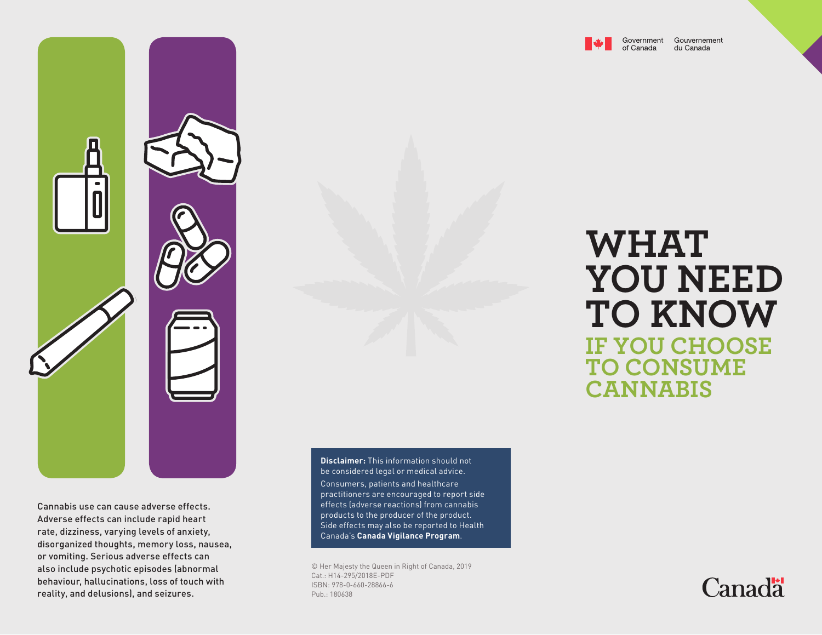

Government Gouvernement du Canada

Cannabis use can cause adverse effects. Adverse effects can include rapid heart rate, dizziness, varying levels of anxiety, disorganized thoughts, memory loss, nausea, or vomiting. Serious adverse effects can also include psychotic episodes (abnormal behaviour, hallucinations, loss of touch with reality, and delusions), and seizures.

**Disclaimer:** This information should not be considered legal or medical advice. Consumers, patients and healthcare practitioners are encouraged to report side effects (adverse reactions) from cannabis products to the producer of the product. Side effects may also be reported to Health Canada's **Canada Vigilance Program**.

© Her Majesty the Queen in Right of Canada, 2019 Cat.: H14-295/2018E-PDF ISBN: 978-0-660-28866-6 Pub.: 180638

## **WHAT YOU NEED TO KNOW IF YOU CHOOSE TO CONSUME CANNABIS**